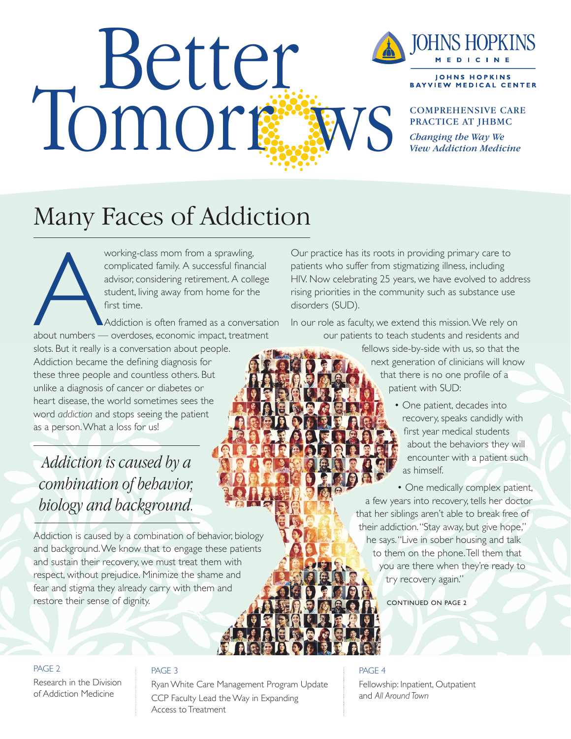# Tomorr ws



**JOHNS HOPKINS BAYVIEW MEDICAL CENTER** 

COMPREHENSIVE CARE PRACTICE AT JHBMC

*Changing the Way We View Addiction Medicine*

# Many Faces of Addiction

working-class mom from a sprawling,<br>
complicated family. A successful finance<br>
advisor, considering retirement. A colle<br>
student, living away from home for the<br>
first time.<br>
Addiction is often framed as a conver<br>
about num complicated family. A successful financial advisor, considering retirement. A college student, living away from home for the first time.

Addiction is often framed as a conversation about numbers — overdoses, economic impact, treatment

slots. But it really is a conversation about people. Addiction became the defining diagnosis for these three people and countless others. But unlike a diagnosis of cancer or diabetes or heart disease, the world sometimes sees the word *addiction* and stops seeing the patient as a person. What a loss for us!

*Addiction is caused by a combination of behavior, biology and background.*

Addiction is caused by a combination of behavior, biology and background. We know that to engage these patients and sustain their recovery, we must treat them with respect, without prejudice. Minimize the shame and fear and stigma they already carry with them and restore their sense of dignity.

Our practice has its roots in providing primary care to patients who suffer from stigmatizing illness, including HIV. Now celebrating 25 years, we have evolved to address rising priorities in the community such as substance use disorders (SUD).

In our role as faculty, we extend this mission. We rely on our patients to teach students and residents and

> fellows side-by-side with us, so that the next generation of clinicians will know that there is no one profile of a patient with SUD:

> > • One patient, decades into recovery, speaks candidly with first year medical students about the behaviors they will encounter with a patient such as himself.

• One medically complex patient, a few years into recovery, tells her doctor that her siblings aren't able to break free of their addiction. "Stay away, but give hope," he says. "Live in sober housing and talk to them on the phone. Tell them that you are there when they're ready to try recovery again."

CONTINUED ON PAGE 2

#### PAGE 2

Research in the Division of Addiction Medicine

#### PAGE 3

Ryan White Care Management Program Update CCP Faculty Lead the Way in Expanding Access to Treatment

#### PAGE 4

Fellowship: Inpatient, Outpatient and *All Around Town*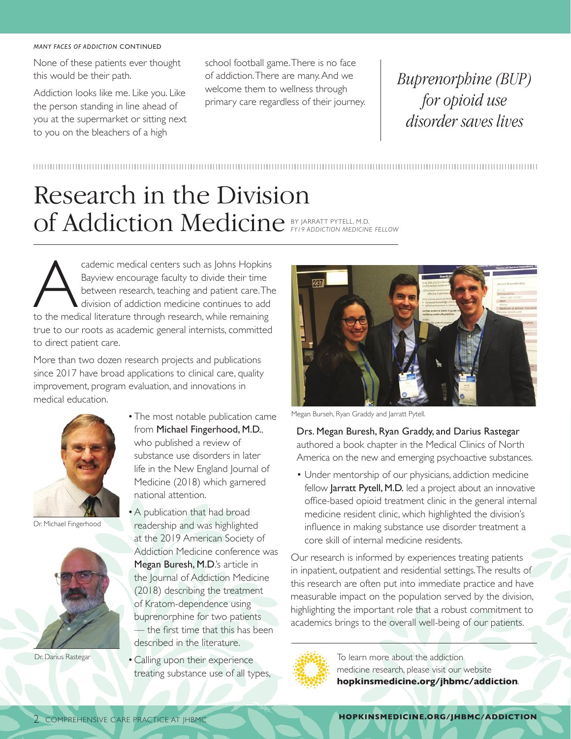#### *MANY FACES OF ADDICTION* CONTINUED

None of these patients ever thought this would be their path.

Addiction looks like me. Like you. Like the person standing in line ahead of you at the supermarket or sitting next to you on the bleachers of a high

school football game. There is no face of addiction. There are many. And we welcome them to wellness through primary care regardless of their journey.

*Buprenorphine (BUP) for opioid use disorder saves lives*

### Research in the Division of Addiction Medicine BY JARRATT PYTELL, M.D. *FY19 ADDICTION MEDICINE FELLOW*

cademic medical centers such as Johns Hopkins<br>
Bayview encourage faculty to divide their time<br>
between research, teaching and patient care. The<br>
division of addiction medicine continues to add<br>
to the medical literature th Bayview encourage faculty to divide their time between research, teaching and patient care. The division of addiction medicine continues to add true to our roots as academic general internists, committed to direct patient care.

More than two dozen research projects and publications since 2017 have broad applications to clinical care, quality improvement, program evaluation, and innovations in medical education.



Dr. Michael Fingerhood



Dr. Darius Rastegar

- The most notable publication came from Michael Fingerhood, M.D., who published a review of substance use disorders in later life in the New England Journal of Medicine (2018) which garnered national attention.
- A publication that had broad readership and was highlighted at the 2019 American Society of Addiction Medicine conference was Megan Buresh, M.D.'s article in the Journal of Addiction Medicine (2018) describing the treatment of Kratom-dependence using buprenorphine for two patients — the first time that this has been described in the literature.
- Calling upon their experience treating substance use of all types,



Megan Burseh, Ryan Graddy and Jarratt Pytell.

Drs. Megan Buresh, Ryan Graddy, and Darius Rastegar authored a book chapter in the Medical Clinics of North America on the new and emerging psychoactive substances.

• Under mentorship of our physicians, addiction medicine fellow Jarratt Pytell, M.D. led a project about an innovative office-based opioid treatment clinic in the general internal medicine resident clinic, which highlighted the division's influence in making substance use disorder treatment a core skill of internal medicine residents.

Our research is informed by experiences treating patients in inpatient, outpatient and residential settings. The results of this research are often put into immediate practice and have measurable impact on the population served by the division, highlighting the important role that a robust commitment to academics brings to the overall well-being of our patients.



To learn more about the addiction medicine research, please visit our website **hopkinsmedicine.org/jhbmc/addiction**.

**HOPKINSMEDICINE.ORG/JHBMC/ADDICTION**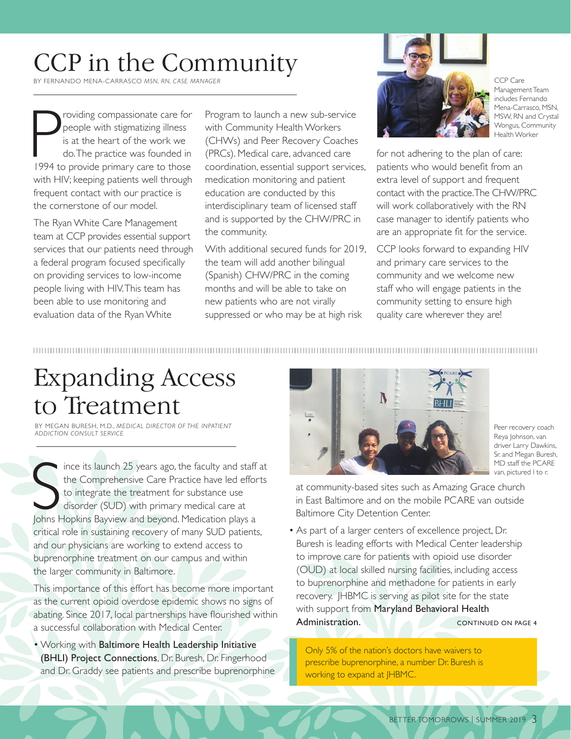## CCP in the Community

BY FERNANDO MENA-CARRASCO *MSN, RN, CASE MANAGER*

P roviding compassionate care for<br>
people with stigmatizing illness<br>
is at the heart of the work we<br>
do. The practice was founded in<br>
1994 to provide primary care to those people with stigmatizing illness is at the heart of the work we do. The practice was founded in with HIV; keeping patients well through frequent contact with our practice is the cornerstone of our model.

The Ryan White Care Management team at CCP provides essential support services that our patients need through a federal program focused specifically on providing services to low-income people living with HIV. This team has been able to use monitoring and evaluation data of the Ryan White

Program to launch a new sub-service with Community Health Workers (CHWs) and Peer Recovery Coaches (PRCs). Medical care, advanced care coordination, essential support services, medication monitoring and patient education are conducted by this interdisciplinary team of licensed staff and is supported by the CHW/PRC in the community.

With additional secured funds for 2019, the team will add another bilingual (Spanish) CHW/PRC in the coming months and will be able to take on new patients who are not virally suppressed or who may be at high risk



CCP Care Management Team includes Fernando Mena-Carrasco, MSN, MSW, RN and Crystal Wongus, Community Health Worker

for not adhering to the plan of care: patients who would benefit from an extra level of support and frequent contact with the practice. The CHW/PRC will work collaboratively with the RN case manager to identify patients who are an appropriate fit for the service.

CCP looks forward to expanding HIV and primary care services to the community and we welcome new staff who will engage patients in the community setting to ensure high quality care wherever they are!

## Expanding Access to Treatment

BY MEGAN BURESH, M.D., *MEDICAL DIRECTOR OF THE INPATIENT ADDICTION CONSULT SERVICE*

Since its launch 25 years ago, the faculty and staff<br>the Comprehensive Care Practice have led effor<br>to integrate the treatment for substance use<br>disorder (SUD) with primary medical care at<br>Johns Hopkins Bayview and beyond. ince its launch 25 years ago, the faculty and staff at the Comprehensive Care Practice have led efforts to integrate the treatment for substance use disorder (SUD) with primary medical care at critical role in sustaining recovery of many SUD patients, and our physicians are working to extend access to buprenorphine treatment on our campus and within the larger community in Baltimore.

This importance of this effort has become more important as the current opioid overdose epidemic shows no signs of abating. Since 2017, local partnerships have flourished within a successful collaboration with Medical Center.

• Working with Baltimore Health Leadership Initiative (BHLI) Project Connections, Dr. Buresh, Dr. Fingerhood and Dr. Graddy see patients and prescribe buprenorphine



Peer recovery coach Reya Johnson, van driver Larry Dawkins, Sr. and Megan Buresh, MD staff the PCARE van, pictured l to r.

at community-based sites such as Amazing Grace church in East Baltimore and on the mobile PCARE van outside Baltimore City Detention Center.

• As part of a larger centers of excellence project, Dr. Buresh is leading efforts with Medical Center leadership to improve care for patients with opioid use disorder (OUD) at local skilled nursing facilities, including access to buprenorphine and methadone for patients in early recovery. JHBMC is serving as pilot site for the state with support from Maryland Behavioral Health Administration. CONTINUED ON PAGE 4

Only 5% of the nation's doctors have waivers to prescribe buprenorphine, a number Dr. Buresh is working to expand at *HBMC*.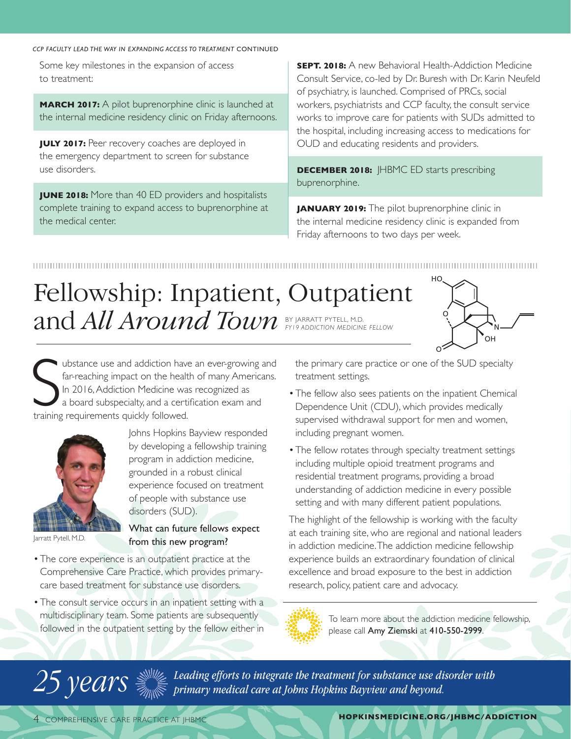*CCP FACULTY LEAD THE WAY IN EXPANDING ACCESS TO TREATMENT* CONTINUED

Some key milestones in the expansion of access to treatment:

**MARCH 2017:** A pilot buprenorphine clinic is launched at the internal medicine residency clinic on Friday afternoons.

**JULY 2017:** Peer recovery coaches are deployed in the emergency department to screen for substance use disorders.

**JUNE 2018:** More than 40 ED providers and hospitalists complete training to expand access to buprenorphine at the medical center.

**SEPT. 2018:** A new Behavioral Health-Addiction Medicine Consult Service, co-led by Dr. Buresh with Dr. Karin Neufeld of psychiatry, is launched. Comprised of PRCs, social workers, psychiatrists and CCP faculty, the consult service works to improve care for patients with SUDs admitted to the hospital, including increasing access to medications for OUD and educating residents and providers.

**DECEMBER 2018:** HBMC ED starts prescribing buprenorphine.

**JANUARY 2019:** The pilot buprenorphine clinic in the internal medicine residency clinic is expanded from Friday afternoons to two days per week.

# Fellowship: Inpatient, Outpatient and *All Around Town* BY JARRATT PYTELL, M.D. *FY19 ADDICTION MEDICINE FELLOW*



Ubstance use and addiction have<br>far-reaching impact on the healt<br>In 2016, Addiction Medicine was<br>a board subspecialty, and a certi<br>training requirements quickly followed. ubstance use and addiction have an ever-growing and far-reaching impact on the health of many Americans. In 2016, Addiction Medicine was recognized as a board subspecialty, and a certification exam and



Jarratt Pytell, M.D.

Johns Hopkins Bayview responded by developing a fellowship training program in addiction medicine, grounded in a robust clinical experience focused on treatment of people with substance use disorders (SUD).

What can future fellows expect from this new program?

- The core experience is an outpatient practice at the Comprehensive Care Practice, which provides primarycare based treatment for substance use disorders.
- The consult service occurs in an inpatient setting with a multidisciplinary team. Some patients are subsequently followed in the outpatient setting by the fellow either in

the primary care practice or one of the SUD specialty treatment settings.

- The fellow also sees patients on the inpatient Chemical Dependence Unit (CDU), which provides medically supervised withdrawal support for men and women, including pregnant women.
- The fellow rotates through specialty treatment settings including multiple opioid treatment programs and residential treatment programs, providing a broad understanding of addiction medicine in every possible setting and with many different patient populations.

The highlight of the fellowship is working with the faculty at each training site, who are regional and national leaders in addiction medicine. The addiction medicine fellowship experience builds an extraordinary foundation of clinical excellence and broad exposure to the best in addiction research, policy, patient care and advocacy.



To learn more about the addiction medicine fellowship, please call Amy Ziemski at 410-550-2999.

 $25$   $\gamma$   $ears$   $\mathbb{R}$   $\mathbb{R}$  *Leading efforts to integrate the treatment for substance use disorder with* primary medical care at Johns Hopkins Bayview and beyond. *primary medical care at Johns Hopkins Bayview and beyond.*

**HOPKINSMEDICINE.ORG/JHBMC/ADDICTION**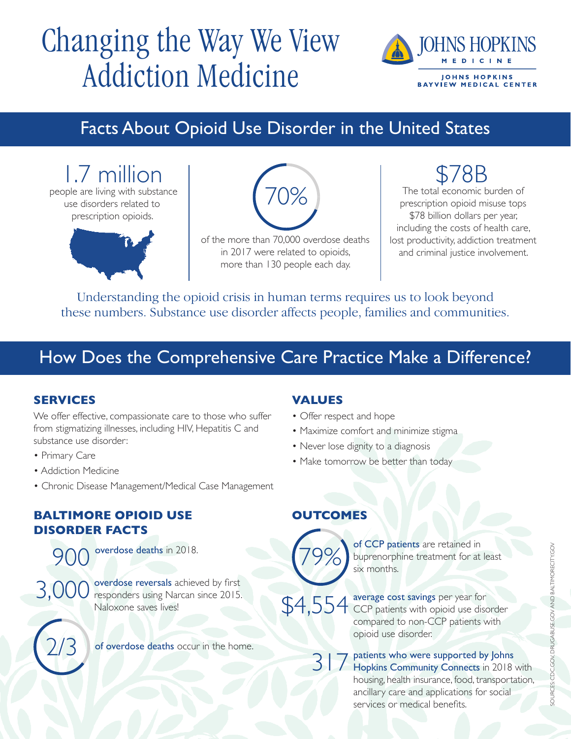# Changing the Way We View Addiction Medicine



## Facts About Opioid Use Disorder in the United States

1.7 million people are living with substance use disorders related to prescription opioids.



of the more than 70,000 overdose deaths in 2017 were related to opioids, more than 130 people each day.

 $\bigcap\!mathcal{O}'_{\Omega}$ 

78B The total economic burden of prescription opioid misuse tops \$78 billion dollars per year, including the costs of health care, lost productivity, addiction treatment and criminal justice involvement.

Understanding the opioid crisis in human terms requires us to look beyond these numbers. Substance use disorder affects people, families and communities.

## How Does the Comprehensive Care Practice Make a Difference?

## **SERVICES**

We offer effective, compassionate care to those who suffer from stigmatizing illnesses, including HIV, Hepatitis C and substance use disorder:

- Primary Care
- Addiction Medicine
- Chronic Disease Management/Medical Case Management

## **BALTIMORE OPIOID USE DISORDER FACTS**

overdose deaths in 2018.

3,000 overdose reversals achieved by first<br>3,000 responders using Narcan since 2015. Naloxone saves lives!



of overdose deaths occur in the home.

## **VALUES**

- Offer respect and hope
- Maximize comfort and minimize stigma
- Never lose dignity to a diagnosis
- Make tomorrow be better than today

## **OUTCOMES**



of CCP patients are retained in 79% buprenorphine treatment for at least<br>six months.

\$4,554 average cost savings per year for<br>\$9,554 CCP patients with opioid use disorder compared to non-CCP patients with opioid use disorder.

> patients who were supported by Johns Hopkins Community Connects in 2018 with housing, health insurance, food, transportation, ancillary care and applications for social services or medical benefits. 317